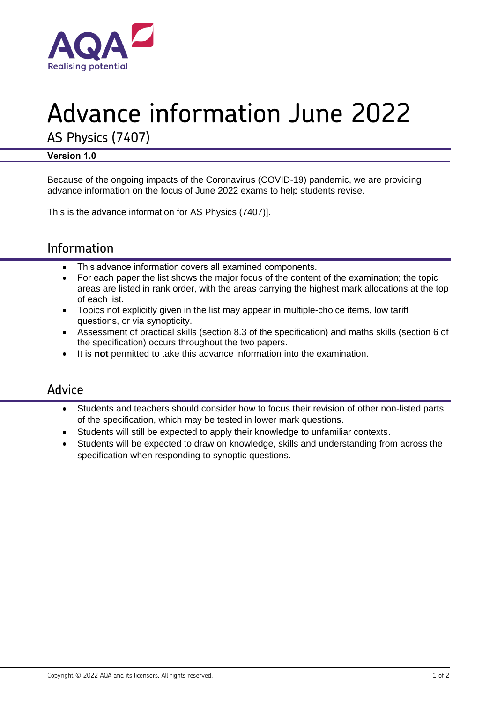

# Advance information June 2022

AS Physics (7407)

## **Version 1.0**

Because of the ongoing impacts of the Coronavirus (COVID-19) pandemic, we are providing advance information on the focus of June 2022 exams to help students revise.

This is the advance information for AS Physics (7407)].

# Information

- This advance information covers all examined components.
- For each paper the list shows the major focus of the content of the examination; the topic areas are listed in rank order, with the areas carrying the highest mark allocations at the top of each list.
- Topics not explicitly given in the list may appear in multiple-choice items, low tariff questions, or via synopticity.
- Assessment of practical skills (section 8.3 of the specification) and maths skills (section 6 of the specification) occurs throughout the two papers.
- It is **not** permitted to take this advance information into the examination.

## Advice

- Students and teachers should consider how to focus their revision of other non-listed parts of the specification, which may be tested in lower mark questions.
- Students will still be expected to apply their knowledge to unfamiliar contexts.
- Students will be expected to draw on knowledge, skills and understanding from across the specification when responding to synoptic questions.